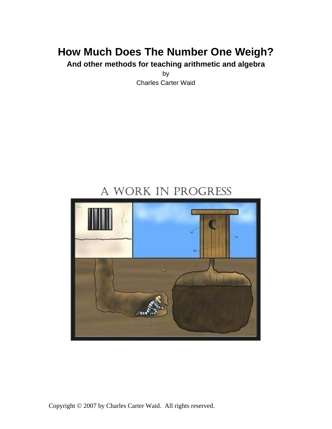# **How Much Does The Number One Weigh?**

**And other methods for teaching arithmetic and algebra** 

by Charles Carter Waid

# A WORK IN PROGRESS

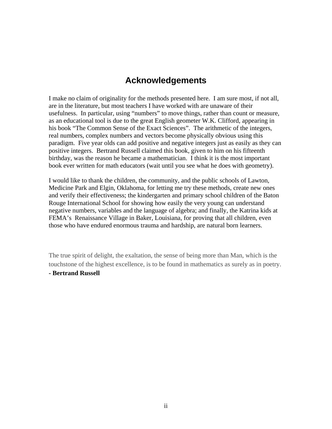## **Acknowledgements**

I make no claim of originality for the methods presented here. I am sure most, if not all, are in the literature, but most teachers I have worked with are unaware of their usefulness. In particular, using "numbers" to move things, rather than count or measure, as an educational tool is due to the great English geometer W.K. Clifford, appearing in his book "The Common Sense of the Exact Sciences". The arithmetic of the integers, real numbers, complex numbers and vectors become physically obvious using this paradigm. Five year olds can add positive and negative integers just as easily as they can positive integers. Bertrand Russell claimed this book, given to him on his fifteenth birthday, was the reason he became a mathematician. I think it is the most important book ever written for math educators (wait until you see what he does with geometry).

I would like to thank the children, the community, and the public schools of Lawton, Medicine Park and Elgin, Oklahoma, for letting me try these methods, create new ones and verify their effectiveness; the kindergarten and primary school children of the Baton Rouge International School for showing how easily the very young can understand negative numbers, variables and the language of algebra; and finally, the Katrina kids at FEMA's Renaissance Village in Baker, Louisiana, for proving that all children, even those who have endured enormous trauma and hardship, are natural born learners.

The true spirit of delight, the exaltation, the sense of being more than Man, which is the touchstone of the highest excellence, is to be found in mathematics as surely as in poetry.

#### **- Bertrand Russell**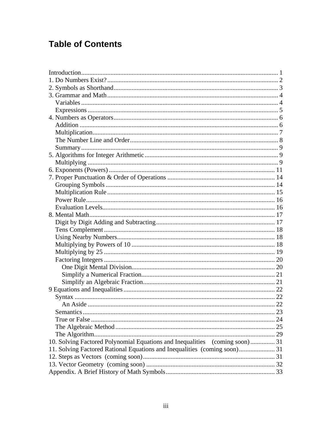# **Table of Contents**

| <b>Semantics</b>                                                            | 23 |
|-----------------------------------------------------------------------------|----|
|                                                                             |    |
|                                                                             |    |
|                                                                             |    |
| 10. Solving Factored Polynomial Equations and Inequalities (coming soon) 31 |    |
|                                                                             |    |
|                                                                             |    |
|                                                                             |    |
|                                                                             |    |
|                                                                             |    |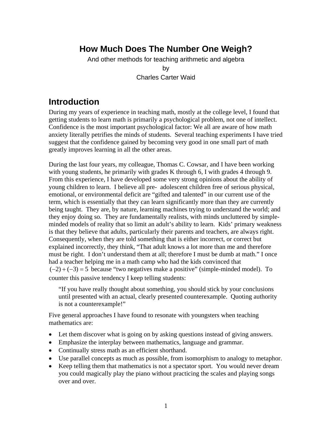## **How Much Does The Number One Weigh?**

And other methods for teaching arithmetic and algebra

by Charles Carter Waid

## <span id="page-3-0"></span>**Introduction**

During my years of experience in teaching math, mostly at the college level, I found that getting students to learn math is primarily a psychological problem, not one of intellect. Confidence is the most important psychological factor: We all are aware of how math anxiety literally petrifies the minds of students. Several teaching experiments I have tried suggest that the confidence gained by becoming very good in one small part of math greatly improves learning in all the other areas.

During the last four years, my colleague, Thomas C. Cowsar, and I have been working with young students, he primarily with grades K through 6, I with grades 4 through 9. From this experience, I have developed some very strong opinions about the ability of young children to learn. I believe all pre- adolescent children free of serious physical, emotional, or environmental deficit are "gifted and talented" in our current use of the term, which is essentially that they can learn significantly more than they are currently being taught. They are, by nature, learning machines trying to understand the world; and they enjoy doing so. They are fundamentally realists, with minds uncluttered by simpleminded models of reality that so limit an adult's ability to learn. Kids' primary weakness is that they believe that adults, particularly their parents and teachers, are always right. Consequently, when they are told something that is either incorrect, or correct but explained incorrectly, they think, "That adult knows a lot more than me and therefore must be right. I don't understand them at all; therefore I must be dumb at math." I once had a teacher helping me in a math camp who had the kids convinced that  $(-2) + (-3) = 5$  because "two negatives make a positive" (simple-minded model). To counter this passive tendency I keep telling students:

"If you have really thought about something, you should stick by your conclusions until presented with an actual, clearly presented counterexample. Quoting authority is not a counterexample!"

Five general approaches I have found to resonate with youngsters when teaching mathematics are:

- Let them discover what is going on by asking questions instead of giving answers.
- Emphasize the interplay between mathematics, language and grammar.
- Continually stress math as an efficient shorthand.
- Use parallel concepts as much as possible, from isomorphism to analogy to metaphor.
- Keep telling them that mathematics is not a spectator sport. You would never dream you could magically play the piano without practicing the scales and playing songs over and over.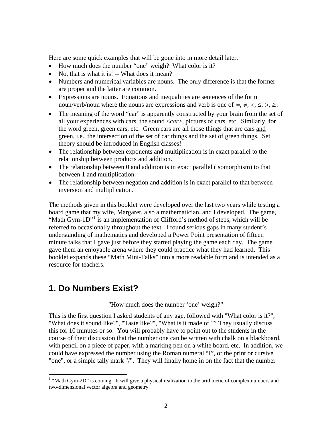Here are some quick examples that will be gone into in more detail later.

- How much does the number "one" weigh? What color is it?
- No, that is what it is! -- What does it mean?
- Numbers and numerical variables are nouns. The only difference is that the former are proper and the latter are common.
- Expressions are nouns. Equations and inequalities are sentences of the form noun/verb/noun where the nouns are expressions and verb is one of  $=$ ,  $\neq$ ,  $\lt$ ,  $\leq$ ,  $\gt$ ,  $\geq$ .
- The meaning of the word "car" is apparently constructed by your brain from the set of all your experiences with cars, the sound <*car*>, pictures of cars, etc. Similarly, for the word green, green cars, etc. Green cars are all those things that are cars and green, i.e., the intersection of the set of car things and the set of green things. Set theory should be introduced in English classes!
- The relationship between exponents and multiplication is in exact parallel to the relationship between products and addition.
- The relationship between 0 and addition is in exact parallel (isomorphism) to that between 1 and multiplication.
- The relationship between negation and addition is in exact parallel to that between inversion and multiplication.

The methods given in this booklet were developed over the last two years while testing a board game that my wife, Margaret, also a mathematician, and I developed. The game, "Math Gym-[1](#page-4-1)D"<sup>1</sup> is an implementation of Clifford's method of steps, which will be referred to occasionally throughout the text. I found serious gaps in many student's understanding of mathematics and developed a Power Point presentation of fifteen minute talks that I gave just before they started playing the game each day. The game gave them an enjoyable arena where they could practice what they had learned. This booklet expands these "Math Mini-Talks" into a more readable form and is intended as a resource for teachers.

## <span id="page-4-0"></span>**1. Do Numbers Exist?**

 $\overline{a}$ 

#### "How much does the number 'one' weigh?"

This is the first question I asked students of any age, followed with "What color is it?", "What does it sound like?", "Taste like?", "What is it made of ?" They usually discuss this for 10 minutes or so. You will probably have to point out to the students in the course of their discussion that the number one can be written with chalk on a blackboard, with pencil on a piece of paper, with a marking pen on a white board, etc. In addition, we could have expressed the number using the Roman numeral "I", or the print or cursive "one", or a simple tally mark "/". They will finally home in on the fact that the number

<span id="page-4-1"></span><sup>&</sup>lt;sup>1</sup> "Math Gym-2D" is coming. It will give a physical realization to the arithmetic of complex numbers and two-dimensional vector algebra and geometry.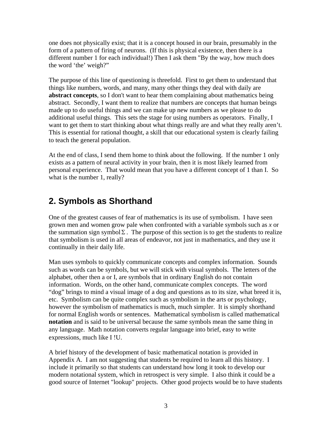one does not physically exist; that it is a concept housed in our brain, presumably in the form of a pattern of firing of neurons. (If this is physical existence, then there is a different number 1 for each individual!) Then I ask them "By the way, how much does the word 'the' weigh?"

The purpose of this line of questioning is threefold. First to get them to understand that things like numbers, words, and many, many other things they deal with daily are **abstract concepts**, so I don't want to hear them complaining about mathematics being abstract. Secondly, I want them to realize that numbers are concepts that human beings made up to do useful things and we can make up new numbers as we please to do additional useful things. This sets the stage for using numbers as operators. Finally, I want to get them to start thinking about what things really are and what they really aren't. This is essential for rational thought, a skill that our educational system is clearly failing to teach the general population.

At the end of class, I send them home to think about the following. If the number 1 only exists as a pattern of neural activity in your brain, then it is most likely learned from personal experience. That would mean that you have a different concept of 1 than I. So what is the number 1, really?

## <span id="page-5-0"></span>**2. Symbols as Shorthand**

One of the greatest causes of fear of mathematics is its use of symbolism. I have seen grown men and women grow pale when confronted with a variable symbols such as *x* or the summation sign symbol  $\Sigma$ . The purpose of this section is to get the students to realize that symbolism is used in all areas of endeavor, not just in mathematics, and they use it continually in their daily life.

Man uses symbols to quickly communicate concepts and complex information. Sounds such as words can be symbols, but we will stick with visual symbols. The letters of the alphabet, other then a or I, are symbols that in ordinary English do not contain information. Words, on the other hand, communicate complex concepts. The word "dog" brings to mind a visual image of a dog and questions as to its size, what breed it is, etc. Symbolism can be quite complex such as symbolism in the arts or psychology, however the symbolism of mathematics is much, much simpler. It is simply shorthand for normal English words or sentences. Mathematical symbolism is called mathematical **notation** and is said to be universal because the same symbols mean the same thing in any language. Math notation converts regular language into brief, easy to write expressions, much like I !U.

A brief history of the development of basic mathematical notation is provided in Appendix A. I am not suggesting that students be required to learn all this history. I include it primarily so that students can understand how long it took to develop our modern notational system, which in retrospect is very simple. I also think it could be a good source of Internet "lookup" projects. Other good projects would be to have students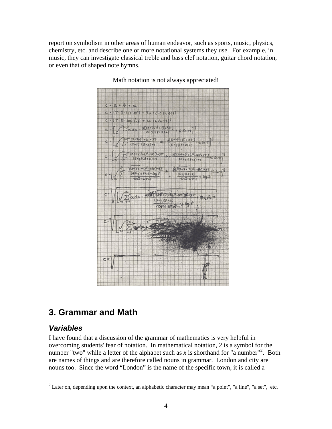report on symbolism in other areas of human endeavor, such as sports, music, physics, chemistry, etc. and describe one or more notational systems they use. For example, in music, they can investigate classical treble and bass clef notation, guitar chord notation, or even that of shaped note hymns.



Math notation is not always appreciated!

## <span id="page-6-0"></span>**3. Grammar and Math**

### <span id="page-6-1"></span>*Variables*

 $\overline{a}$ 

I have found that a discussion of the grammar of mathematics is very helpful in overcoming students' fear of notation. In mathematical notation, 2 is a symbol for the number "two" while a letter of the alphabet such as x is shorthand for "a number"<sup>[2](#page-6-2)</sup>. Both are names of things and are therefore called nouns in grammar. London and city are nouns too. Since the word "London" is the name of the specific town, it is called a

<span id="page-6-2"></span><sup>&</sup>lt;sup>2</sup> Later on, depending upon the context, an alphabetic character may mean "a point", "a line", "a set", etc.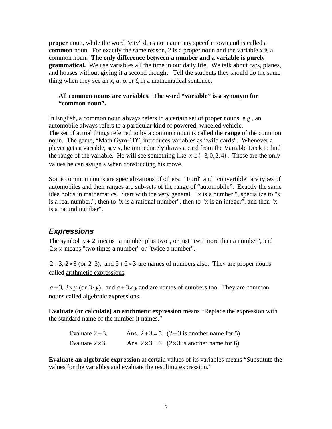**proper** noun, while the word "city" does not name any specific town and is called a **common** noun. For exactly the same reason, 2 is a proper noun and the variable *x* is a common noun. **The only difference between a number and a variable is purely grammatical.** We use variables all the time in our daily life. We talk about cars, planes, and houses without giving it a second thought. Tell the students they should do the same thing when they see an *x*, *a*,  $\alpha$  or  $\xi$  in a mathematical sentence.

#### **All common nouns are variables. The word "variable" is a synonym for "common noun".**

In English, a common noun always refers to a certain set of proper nouns, e.g., an automobile always refers to a particular kind of powered, wheeled vehicle. The set of actual things referred to by a common noun is called the **range** of the common noun. The game, "Math Gym-1D", introduces variables as "wild cards". Whenever a player gets a variable, say *x*, he immediately draws a card from the Variable Deck to find the range of the variable. He will see something like  $x \in \{-3, 0, 2, 4\}$ . These are the only values he can assign *x* when constructing his move.

Some common nouns are specializations of others. "Ford" and "convertible" are types of automobiles and their ranges are sub-sets of the range of "automobile". Exactly the same idea holds in mathematics. Start with the very general. "x is a number.", specialize to "x is a real number.", then to "x is a rational number", then to "x is an integer", and then "x is a natural number".

### <span id="page-7-0"></span>*Expressions*

The symbol  $x + 2$  means "a number plus two", or just "two more than a number", and 2 *x* means "two times a number" or "twice a number".

 $2+3$ ,  $2\times3$  (or  $2\cdot3$ ), and  $5+2\times3$  are names of numbers also. They are proper nouns called arithmetic expressions.

 $a+3$ ,  $3 \times y$  (or  $3 \cdot y$ ), and  $a+3 \times y$  and are names of numbers too. They are common nouns called algebraic expressions.

**Evaluate (or calculate) an arithmetic expression** means "Replace the expression with the standard name of the number it names."

| Evaluate $2+3$ .       | Ans. $2+3=5$ $(2+3$ is another name for 5)        |
|------------------------|---------------------------------------------------|
| Evaluate $2\times 3$ . | Ans. $2 \times 3 = 6$ (2×3 is another name for 6) |

**Evaluate an algebraic expression** at certain values of its variables means "Substitute the values for the variables and evaluate the resulting expression."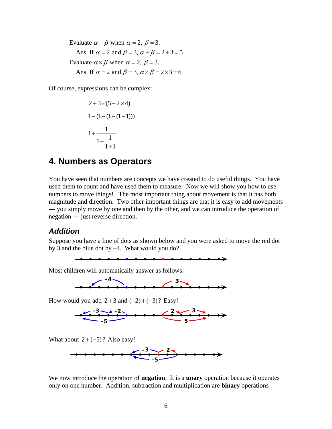Evaluate  $\alpha + \beta$  when  $\alpha = 2$ ,  $\beta = 3$ . Ans. If  $\alpha = 2$  and  $\beta = 3$ ,  $\alpha + \beta = 2 + 3 = 5$ Evaluate  $\alpha \times \beta$  when  $\alpha = 2$ ,  $\beta = 3$ . Ans. If  $\alpha = 2$  and  $\beta = 3$ ,  $\alpha \times \beta = 2 \times 3 = 6$ 

Of course, expressions can be complex:

$$
2+3\times(5-2\times4)
$$
  
1-(1-(1-(1-1))))  

$$
1+\frac{1}{1+\frac{1}{1+1}}
$$

### <span id="page-8-0"></span>**4. Numbers as Operators**

You have seen that numbers are concepts we have created to do useful things. You have used them to count and have used them to measure. Now we will show you how to use numbers to move things! The most important thing about movement is that it has both magnitude and direction. Two other important things are that it is easy to add movements --- you simply move by one and then by the other, and we can introduce the operation of negation --- just reverse direction.

### <span id="page-8-1"></span>*Addition*

Suppose you have a line of dots as shown below and you were asked to move the red dot by 3 and the blue dot by –4. What would you do?



Most children will automatically answer as follows.



How would you add  $2+3$  and  $(-2)+(-3)$ ? Easy!



What about  $2 + (-5)$ ? Also easy!



We now introduce the operation of **negation**. It is a **unary** operation because it operates only on one number. Addition, subtraction and multiplication are **binary** operations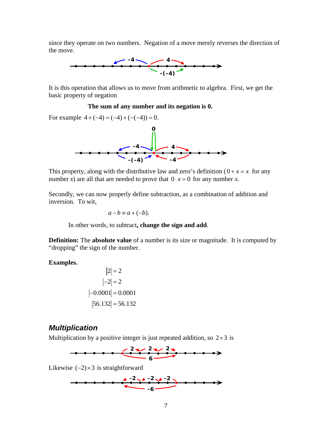since they operate on two numbers. Negation of a move merely reverses the direction of the move.



It is this operation that allows us to move from arithmetic to algebra. First, we get the basic property of negation

#### **The sum of any number and its negation is 0.**

For example  $4 + (-4) = (-4) + (-(-4)) = 0$ .



This property, along with the distributive law and zero's definition  $(0 + x = x$  for any number *x*) are all that are needed to prove that  $0 \cdot x = 0$  for any number *x*.

Secondly, we can now properly define subtraction, as a combination of addition and inversion. To wit,

$$
a-b \equiv a+(-b).
$$

In other words, to subtract**, change the sign and add**.

**Definition:** The **absolute value** of a number is its size or magnitude. It is computed by "dropping" the sign of the number.

**Examples.** 

$$
|2| = 2
$$
  
\n
$$
|-2| = 2
$$
  
\n
$$
|-0.0001| = 0.0001
$$
  
\n
$$
|56.132| = 56.132
$$

### <span id="page-9-0"></span>*Multiplication*

Multiplication by a positive integer is just repeated addition, so  $2 \times 3$  is



Likewise  $(-2) \times 3$  is straightforward

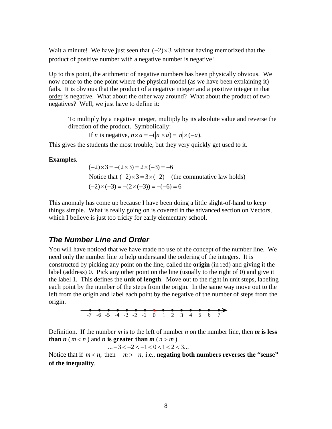Wait a minute! We have just seen that  $(-2) \times 3$  without having memorized that the product of positive number with a negative number is negative!

Up to this point, the arithmetic of negative numbers has been physically obvious. We now come to the one point where the physical model (as we have been explaining it) fails. It is obvious that the product of a negative integer and a positive integer in that order is negative. What about the other way around? What about the product of two negatives? Well, we just have to define it:

To multiply by a negative integer, multiply by its absolute value and reverse the direction of the product. Symbolically:

If *n* is negative,  $n \times a = -\frac{h}{\times a} = \frac{|n|}{\times (-a)}$ .

This gives the students the most trouble, but they very quickly get used to it.

#### **Examples**.

 $(-2) \times 3 = -(2 \times 3) = 2 \times (-3) = -6$ Notice that  $(-2) \times 3 = 3 \times (-2)$  (the commutative law holds)  $(-2) \times (-3) = -(2 \times (-3)) = -(-6) = 6$ 

This anomaly has come up because I have been doing a little slight-of-hand to keep things simple. What is really going on is covered in the advanced section on Vectors, which I believe is just too tricky for early elementary school.

### <span id="page-10-0"></span>*The Number Line and Order*

You will have noticed that we have made no use of the concept of the number line. We need only the number line to help understand the ordering of the integers. It is constructed by picking any point on the line, called the **origin** (in red) and giving it the label (address) 0. Pick any other point on the line (usually to the right of 0) and give it the label 1. This defines the **unit of length**. Move out to the right in unit steps, labeling each point by the number of the steps from the origin. In the same way move out to the left from the origin and label each point by the negative of the number of steps from the origin.



Definition. If the number *m* is to the left of number *n* on the number line, then *m* is less **than**  $n$  ( $m < n$ ) and  $n$  **is greater than**  $m$  ( $n > m$ ).

 $... -3 < -2 < -1 < 0 < 1 < 2 < 3...$ 

Notice that if  $m < n$ , then  $-m > -n$ , i.e., **negating both numbers reverses the "sense" of the inequality**.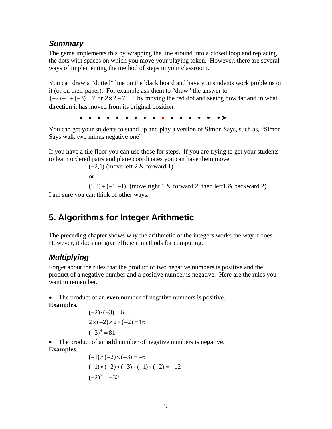### <span id="page-11-0"></span>*Summary*

The game implements this by wrapping the line around into a closed loop and replacing the dots with spaces on which you move your playing token. However, there are several ways of implementing the method of steps in your classroom.

You can draw a "dotted" line on the black board and have you students work problems on it (or on their paper). For example ask them to "draw" the answer to  $(-2) + 1 + (-3) = ?$  or  $2 \times 2 - 7 = ?$  by moving the red dot and seeing how far and in what direction it has moved from its original position.



You can get your students to stand up and play a version of Simon Says, such as, "Simon Says walk two minus negative one"

If you have a tile floor you can use those for steps. If you are trying to get your students to learn ordered pairs and plane coordinates you can have them move

 $(-2,1)$  (move left 2 & forward 1)

or

 $(1, 2) + (-1, -1)$  (move right 1 & forward 2, then left1 & backward 2)

I am sure you can think of other ways.

## <span id="page-11-1"></span>**5. Algorithms for Integer Arithmetic**

The preceding chapter shows why the arithmetic of the integers works the way it does. However, it does not give efficient methods for computing.

### <span id="page-11-2"></span>*Multiplying*

Forget about the rules that the product of two negative numbers is positive and the product of a negative number and a positive number is negative. Here are the rules you want to remember.

 The product of an **even** number of negative numbers is positive. **Examples**.

$$
(-2) \cdot (-3) = 6
$$
  
2×(-2)×2×(-2) = 16  
(-3)<sup>4</sup> = 81

The product of an **odd** number of negative numbers is negative.

### **Examples**.

$$
(-1) \times (-2) \times (-3) = -6
$$
  
\n
$$
(-1) \times (-2) \times (-3) \times (-1) \times (-2) = -12
$$
  
\n
$$
(-2)^{5} = -32
$$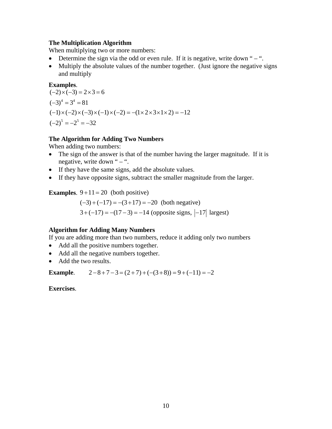#### **The Multiplication Algorithm**

When multiplying two or more numbers:

- Determine the sign via the odd or even rule. If it is negative, write down " $-$ ".
- Multiply the absolute values of the number together. (Just ignore the negative signs and multiply

#### **Examples**.

 $(-3)^4 = 3^4 = 81$  $(-2)^5 = -2^5 = -32$  $(-2) \times (-3) = 2 \times 3 = 6$  $(-1) \times (-2) \times (-3) \times (-1) \times (-2) = -(1 \times 2 \times 3 \times 1 \times 2) = -12$ 

#### **The Algorithm for Adding Two Numbers**

When adding two numbers:

- The sign of the answer is that of the number having the larger magnitude. If it is negative, write down " – ".
- If they have the same signs, add the absolute values.
- If they have opposite signs, subtract the smaller magnitude from the larger.

#### **Examples**.  $9+11 = 20$  (both positive)

 $(-3) + (-17) = -(3 + 17) = -20$  (both negative)  $3 + (-17) = -(17 - 3) = -14$  (opposite signs,  $|-17|$  largest)

#### **Algorithm for Adding Many Numbers**

If you are adding more than two numbers, reduce it adding only two numbers

- Add all the positive numbers together.
- Add all the negative numbers together.
- Add the two results.

**Example.**  $2-8+7-3 = (2+7)+(-3+8) = 9+(-11) = -2$ 

**Exercises**.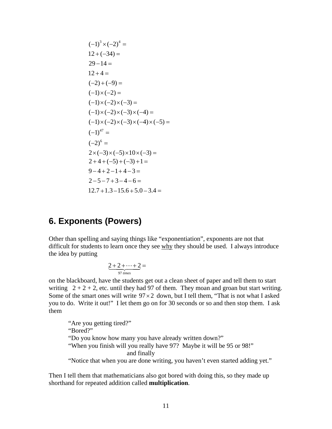$$
(-1)^{3} \times (-2)^{4} =
$$
  
\n
$$
12 + (-34) =
$$
  
\n
$$
29 - 14 =
$$
  
\n
$$
12 + 4 =
$$
  
\n
$$
(-2) + (-9) =
$$
  
\n
$$
(-1) \times (-2) =
$$
  
\n
$$
(-1) \times (-2) \times (-3) =
$$
  
\n
$$
(-1) \times (-2) \times (-3) \times (-4) =
$$
  
\n
$$
(-1) \times (-2) \times (-3) \times (-4) \times (-5) =
$$
  
\n
$$
(-1)^{47} =
$$
  
\n
$$
(-2)^{6} =
$$
  
\n
$$
2 \times (-3) \times (-5) \times 10 \times (-3) =
$$
  
\n
$$
2 + 4 + (-5) + (-3) + 1 =
$$
  
\n
$$
9 - 4 + 2 - 1 + 4 - 3 =
$$
  
\n
$$
2 - 5 - 7 + 3 - 4 - 6 =
$$
  
\n
$$
12.7 + 1.3 - 15.6 + 5.0 - 3.4 =
$$

### <span id="page-13-0"></span>**6. Exponents (Powers)**

Other than spelling and saying things like "exponentiation", exponents are not that difficult for students to learn once they see why they should be used. I always introduce the idea by putting

$$
\underbrace{2+2+\cdots+2}_{97 \text{ times}} =
$$

on the blackboard, have the students get out a clean sheet of paper and tell them to start writing  $2 + 2 + 2$ , etc. until they had 97 of them. They moan and groan but start writing. Some of the smart ones will write  $97 \times 2$  down, but I tell them, "That is not what I asked you to do. Write it out!" I let them go on for 30 seconds or so and then stop them. I ask them

"Are you getting tired?" "Bored?" "Do you know how many you have already written down?" "When you finish will you really have 97? Maybe it will be 95 or 98!" and finally "Notice that when you are done writing, you haven't even started adding yet."

Then I tell them that mathematicians also got bored with doing this, so they made up shorthand for repeated addition called **multiplication**.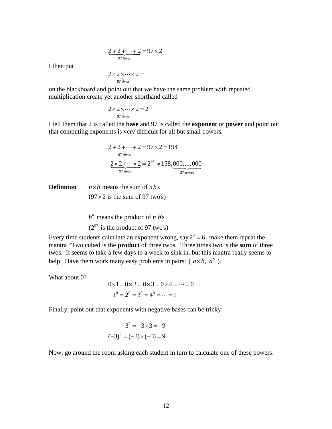$$
\underbrace{2+2+\cdots+2}_{97 \text{ times}} = 97 \times 2
$$

I then put

$$
\underbrace{2\times 2\times\cdots\times 2}_{97 \text{ times}} =
$$

on the blackboard and point out that we have the same problem with repeated multiplication create yet another shorthand called

$$
\underbrace{2 \times 2 \times \cdots \times 2}_{97 \text{ times}} = 2^{97}
$$

I tell them that 2 is called the **base** and 97 is called the **exponent** or **power** and point out that computing exponents is very difficult for all but small powers.

$$
\underbrace{2+2+\cdots+2}_{97 \text{ times}} = 97 \times 2 = 194
$$
  

$$
\underbrace{2 \times 2 \times \cdots \times 2}_{97 \text{ times}} = 2^{97} \approx 158,000,\dots,000
$$

**Definition**   $n \times b$  means the sum of  $nb$ 's  $(97 \times 2$  is the sum of 97 two's)

> $(2^{97}$  is the product of 97 two's)  $b^n$  means the product of *n*  $b$ 's

Every time students calculate an exponent wrong, say  $2^3 = 6$ , make them repeat the mantra "Two cubed is the **product** of three twos. Three times two is the **sum** of three twos. It seems to take a few days to a week to sink in, but this mantra really seems to help. Have them work many easy problems in pairs:  $(a \times b, a^b)$ .

What about 0?

$$
0 \times 1 = 0 \times 2 = 0 \times 3 = 0 \times 4 = \dots = 0
$$
  

$$
1^0 = 2^0 = 3^0 = 4^0 = \dots = 1
$$

Finally, point out that exponents with negative bases can be tricky:

$$
-32 = -3 \times 3 = -9
$$

$$
(-3)2 = (-3) \times (-3) = 9
$$

Now, go around the room asking each student in turn to calculate one of these powers: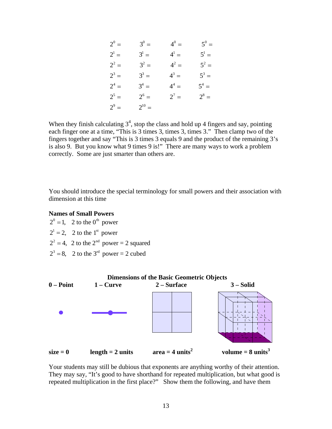| $2^0 =$ | $3^0 =$    | $4^0 =$ | $5^0 =$ |
|---------|------------|---------|---------|
| $2^1 =$ | $3^1 =$    | $4^1 =$ | $5^1 =$ |
| $2^2 =$ | $3^2 =$    | $4^2 =$ | $5^2 =$ |
| $2^3 =$ | $3^3 =$    | $4^3 =$ | $5^3 =$ |
| $2^4 =$ | $3^4 =$    | $4^4 =$ | $5^4 =$ |
| $2^5 =$ | $2^6 =$    | $2^7 =$ | $2^8 =$ |
| $2^9 =$ | $2^{10} =$ |         |         |

When they finish calculating  $3<sup>4</sup>$ , stop the class and hold up 4 fingers and say, pointing each finger one at a time, "This is 3 times 3, times 3, times 3." Then clamp two of the fingers together and say "This is 3 times 3 equals 9 and the product of the remaining 3's is also 9. But you know what 9 times 9 is!" There are many ways to work a problem correctly. Some are just smarter than others are.

You should introduce the special terminology for small powers and their association with dimension at this time

#### **Names of Small Powers**

 $2^0 = 1$ , 2 to the 0<sup>th</sup> power  $2^1 = 2$ , 2 to the 1<sup>st</sup> power  $2^2 = 4$ , 2 to the  $2^{\text{nd}}$  power = 2 squared  $2^3 = 8$ , 2 to the 3<sup>rd</sup> power = 2 cubed



Your students may still be dubious that exponents are anything worthy of their attention. They may say, "It's good to have shorthand for repeated multiplication, but what good is repeated multiplication in the first place?" Show them the following, and have them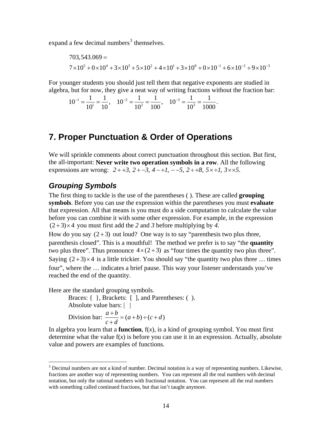expand a few decimal numbers<sup>[3](#page-16-2)</sup> themselves.

$$
703,543.069 =
$$
  
 
$$
7 \times 10^5 + 0 \times 10^4 + 3 \times 10^3 + 5 \times 10^2 + 4 \times 10^1 + 3 \times 10^0 + 0 \times 10^{-1} + 6 \times 10^{-2} + 9 \times 10^{-3}
$$

For younger students you should just tell them that negative exponents are studied in algebra, but for now, they give a neat way of writing fractions without the fraction bar:

 $1-\frac{1}{2}-\frac{1}{10^{-2}}-\frac{1}{2}-\frac{1}{10^{-3}}$  $10^{-1} = \frac{1}{10^{1}} = \frac{1}{10}$ ,  $10^{-2} = \frac{1}{10^{2}} = \frac{1}{100}$ ,  $10^{-3} = \frac{1}{10^{3}} = \frac{1}{1000}$ .

### <span id="page-16-0"></span>**7. Proper Punctuation & Order of Operations**

We will sprinkle comments about correct punctuation throughout this section. But first, the all-important: **Never write two operation symbols in a row**. All the following expressions are wrong:  $2 + 3$ ,  $2 - 3$ ,  $4 - 1$ ,  $-5$ ,  $2 \div 8$ ,  $5 \times \div 1$ ,  $3 \times \times 5$ .

### <span id="page-16-1"></span>*Grouping Symbols*

The first thing to tackle is the use of the parentheses ( ). These are called **grouping symbols**. Before you can use the expression within the parentheses you must **evaluate** that expression. All that means is you must do a side computation to calculate the value before you can combine it with some other expression. For example, in the expression  $(2+3) \times 4$  you must first add the 2 and 3 before multiplying by 4.

How do you say  $(2+3)$  out loud? One way is to say "parenthesis two plus three, parenthesis closed". This is a mouthful! The method we prefer is to say "the **quantity** two plus three". Thus pronounce  $4 \times (2+3)$  as "four times the quantity two plus three". Saying  $(2+3) \times 4$  is a little trickier. You should say "the quantity two plus three ... times four", where the … indicates a brief pause. This way your listener understands you've reached the end of the quantity.

Here are the standard grouping symbols.

Braces:  $\{\}$ , Brackets:  $\lceil \}$ , and Parentheses: (). Absolute value bars: | |

Division bar:  $\frac{a+b}{a} = (a+b) \div (c+d)$  $c + d$  $\frac{+b}{ }=(a+b)\div(c+$  $\ddot{}$ )

In algebra you learn that a **function**,  $f(x)$ , is a kind of grouping symbol. You must first determine what the value  $f(x)$  is before you can use it in an expression. Actually, absolute value and powers are examples of functions.

<span id="page-16-2"></span><sup>&</sup>lt;sup>3</sup> Decimal numbers are not a kind of number. Decimal notation is a way of representing numbers. Likewise, fractions are another way of representing numbers. You can represent all the real numbers with decimal notation, but only the rational numbers with fractional notation. You can represent all the real numbers with something called continued fractions, but that isn't taught anymore.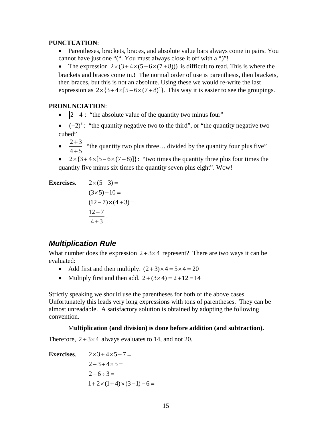#### **PUNCTUATION**:

- Parentheses, brackets, braces, and absolute value bars always come in pairs. You cannot have just one "(". You must always close it off with a ")"!
- The expression  $2 \times (3 + 4 \times (5 6 \times (7 + 8)))$  is difficult to read. This is where the brackets and braces come in.! The normal order of use is parenthesis, then brackets, then braces, but this is not an absolute. Using these we would re-write the last expression as  $2 \times \{3 + 4 \times [5 - 6 \times (7 + 8)]\}$ . This way it is easier to see the groupings.

#### **PRONUNCIATION**:

- $|2-4|$ : "the absolute value of the quantity two minus four"
- $\bullet$   $(-2)^3$ : "the quantity negative two to the third", or "the quantity negative two cubed"
- $\frac{2+3}{1}$  $4 + 5$  $\ddot{}$  $^{+}$ "the quantity two plus three… divided by the quantity four plus five"
- $2 \times \{3 + 4 \times [5 6 \times (7 + 8)]\}$ : "two times the quantity three plus four times the quantity five minus six times the quantity seven plus eight". Wow!

**Exercises.** 
$$
2 \times (5-3) =
$$
  
\n $(3 \times 5) - 10 =$   
\n $(12-7) \times (4+3) =$   
\n $\frac{12-7}{4+3} =$ 

### <span id="page-17-0"></span>*Multiplication Rule*

What number does the expression  $2+3\times4$  represent? There are two ways it can be evaluated:

- Add first and then multiply.  $(2+3) \times 4 = 5 \times 4 = 20$
- Multiply first and then add.  $2+(3\times 4) = 2+12 = 14$

Strictly speaking we should use the parentheses for both of the above cases. Unfortunately this leads very long expressions with tons of parentheses. They can be almost unreadable. A satisfactory solution is obtained by adopting the following convention.

#### M**ultiplication (and division) is done before addition (and subtraction).**

Therefore,  $2+3\times4$  always evaluates to 14, and not 20.

**Exercises.** 
$$
2 \times 3 + 4 \times 5 - 7 =
$$
  
\n $2 - 3 + 4 \times 5 =$   
\n $2 - 6 \div 3 =$   
\n $1 + 2 \times (1 + 4) \times (3 - 1) - 6 =$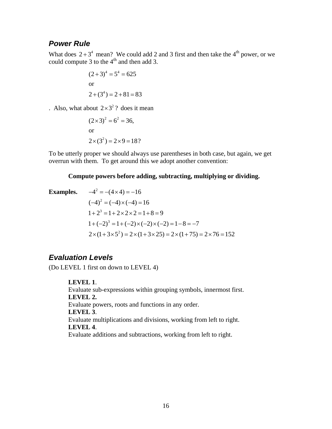### <span id="page-18-0"></span>*Power Rule*

What does  $2+3^4$  mean? We could add 2 and 3 first and then take the 4<sup>th</sup> power, or we could compute 3 to the 4<sup>th</sup> and then add 3.

$$
(2+3)4 = 54 = 625
$$
  
or  

$$
2 + (34) = 2 + 81 = 83
$$

. Also, what about  $2 \times 3^2$ ? does it mean

$$
(2 \times 3)^2 = 6^2 = 36,
$$
  
or  

$$
2 \times (3^2) = 2 \times 9 = 18?
$$

To be utterly proper we should always use parentheses in both case, but again, we get overrun with them. To get around this we adopt another convention:

#### **Compute powers before adding, subtracting, multiplying or dividing.**

Examples. 
$$
-4^2 = -(4 \times 4) = -16
$$

$$
(-4)^2 = (-4) \times (-4) = 16
$$

$$
1 + 2^3 = 1 + 2 \times 2 \times 2 = 1 + 8 = 9
$$

$$
1 + (-2)^3 = 1 + (-2) \times (-2) \times (-2) = 1 - 8 = -7
$$

$$
2 \times (1 + 3 \times 5^2) = 2 \times (1 + 3 \times 25) = 2 \times (1 + 75) = 2 \times 76 = 152
$$

### <span id="page-18-1"></span>*Evaluation Levels*

(Do LEVEL 1 first on down to LEVEL 4)

**LEVEL 1**. Evaluate sub-expressions within grouping symbols, innermost first. **LEVEL 2.**  Evaluate powers, roots and functions in any order. **LEVEL 3**. Evaluate multiplications and divisions, working from left to right. **LEVEL 4**. Evaluate additions and subtractions, working from left to right.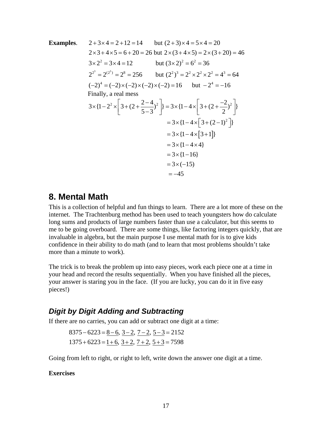Examples. 2+3×4 = 2+12 = 14 but (2+3)×4 = 5×4 = 20  
\n2×3+4×5 = 6+20 = 26 but 2×(3+4×5) = 2×(3+20) = 46  
\n3×2<sup>2</sup> = 3×4 = 12 but (3×2)<sup>2</sup> = 6<sup>2</sup> = 36  
\n2<sup>2<sup>3</sup></sup> = 2<sup>(2<sup>3</sup>)</sup> = 2<sup>8</sup> = 256 but (2<sup>2</sup>)<sup>3</sup> = 2<sup>2</sup> × 2<sup>2</sup> × 2<sup>2</sup> = 4<sup>3</sup> = 64  
\n(-2)<sup>4</sup> = (-2)×(-2)×(-2)×(-2) = 16 but -2<sup>4</sup> = -16  
\nFinally, a real mess  
\n3×{1-2<sup>2</sup> × 
$$
\left[3+(2+\frac{2-4}{5-3})^2\right] = 3 \times {1-4 \times \left[3+(2+\frac{-2}{2})^2\right]}
$$
  
\n= 3×{1-4×[3+1]}  
\n= 3×{1-4×[3+1]}  
\n= 3×{1-16}  
\n= 3×(-15)  
\n= -45

### <span id="page-19-0"></span>**8. Mental Math**

This is a collection of helpful and fun things to learn. There are a lot more of these on the internet. The Trachtenburg method has been used to teach youngsters how do calculate long sums and products of large numbers faster than use a calculator, but this seems to me to be going overboard. There are some things, like factoring integers quickly, that are invaluable in algebra, but the main purpose I use mental math for is to give kids confidence in their ability to do math (and to learn that most problems shouldn't take more than a minute to work).

The trick is to break the problem up into easy pieces, work each piece one at a time in your head and record the results sequentially. When you have finished all the pieces, your answer is staring you in the face. (If you are lucky, you can do it in five easy pieces!)

### <span id="page-19-1"></span>*Digit by Digit Adding and Subtracting*

If there are no carries, you can add or subtract one digit at a time:

$$
8375 - 6223 = 8 - 6, 3 - 2, 7 - 2, 5 - 3 = 2152
$$
  

$$
1375 + 6223 = 1 + 6, 3 + 2, 7 + 2, 5 + 3 = 7598
$$

Going from left to right, or right to left, write down the answer one digit at a time.

#### **Exercises**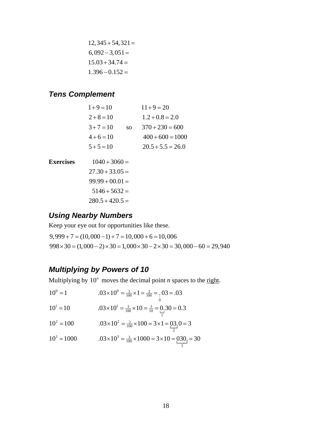$$
12,345 + 54,321 =
$$
  
6,092 - 3,051 =  

$$
15.03 + 34.74 =
$$
  

$$
1.396 - 0.152 =
$$

### <span id="page-20-0"></span>*Tens Complement*

| $1+9=10$     |           | $11+9=20$           |
|--------------|-----------|---------------------|
| $2+8=10$     |           | $1.2 + 0.8 = 2.0$   |
| $3 + 7 = 10$ | <b>SO</b> | $370 + 230 = 600$   |
| $4+6=10$     |           | $400 + 600 = 1000$  |
| $5 + 5 = 10$ |           | $20.5 + 5.5 = 26.0$ |

- **Exercises**  $1040 + 3060 =$ 
	- $27.30 + 33.05 =$  $99.99 + 00.01 =$  $5146 + 5632 =$  $280.5 + 420.5 =$

### <span id="page-20-1"></span>*Using Nearby Numbers*

Keep your eye out for opportunities like these.

 $9,999 + 7 = (10,000 - 1) + 7 = 10,000 + 6 = 10,006$  $998 \times 30 = (1,000 - 2) \times 30 = 1,000 \times 30 - 2 \times 30 = 30,000 - 60 = 29,940$ 

### <span id="page-20-2"></span>*Multiplying by Powers of 10*

Multiplying by  $10<sup>n</sup>$  moves the decimal point *n* spaces to the right.

| $10^0 = 1$<br>$.03 \times 10^{0} = \frac{3}{100} \times 1 = \frac{3}{100} = 0.03 = .03$ |  |
|-----------------------------------------------------------------------------------------|--|
|-----------------------------------------------------------------------------------------|--|

$$
10^{1} = 10 \qquad \qquad .03 \times 10^{1} = \frac{3}{100} \times 10 = \frac{3}{10} = 0.30 = 0.3
$$

$$
10^2 = 100 \t\t 0.03 \times 10^2 = \frac{3}{100} \times 100 = 3 \times 1 = \frac{03}{2} \cdot 0 = 3
$$

$$
10^3 = 1000 \qquad \qquad .03 \times 10^3 = \frac{3}{100} \times 1000 = 3 \times 10 = \underbrace{030}_{3} = 30
$$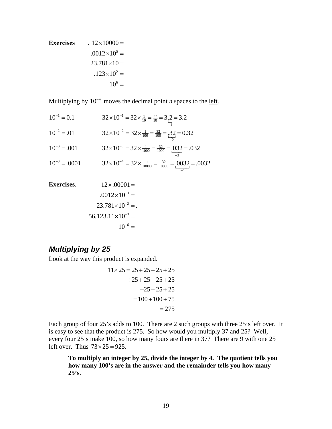Exercises

\n
$$
.12 \times 10000 =
$$
\n
$$
.0012 \times 10^{5} =
$$
\n
$$
23.781 \times 10 =
$$
\n
$$
.123 \times 10^{2} =
$$
\n
$$
10^{6} =
$$

Multiplying by  $10^{-n}$  moves the decimal point *n* spaces to the <u>left</u>.

$$
10^{-1} = 0.1
$$
  
\n
$$
32 \times 10^{-1} = 32 \times \frac{1}{10} = \frac{32}{10} = 3.2
$$
  
\n
$$
10^{-2} = .01
$$
  
\n
$$
32 \times 10^{-2} = 32 \times \frac{1}{100} = \frac{32}{100} = .32 = 0.32
$$
  
\n
$$
10^{-3} = .001
$$
  
\n
$$
32 \times 10^{-3} = 32 \times \frac{1}{1000} = \frac{32}{1000} = .032 = .032
$$
  
\n
$$
10^{-3} = .0001
$$
  
\n
$$
32 \times 10^{-4} = 32 \times \frac{1}{10000} = \frac{32}{10000} = .0032 = .0032
$$

Exercises.

\n
$$
12 \times .00001 =
$$
\n
$$
.0012 \times 10^{-1} =
$$
\n
$$
23.781 \times 10^{-2} =
$$
\n
$$
56,123.11 \times 10^{-3} =
$$
\n
$$
10^{-6} =
$$

### <span id="page-21-0"></span>*Multiplying by 25*

Look at the way this product is expanded.

$$
11 \times 25 = 25 + 25 + 25 + 25
$$
  
+25 + 25 + 25 + 25  
+25 + 25 + 25  
= 100 + 100 + 75  
= 275

Each group of four 25's adds to 100. There are 2 such groups with three 25's left over. It is easy to see that the product is 275. So how would you multiply 37 and 25? Well, every four 25's make 100, so how many fours are there in 37? There are 9 with one 25 left over. Thus  $73 \times 25 = 925$ .

**To multiply an integer by 25, divide the integer by 4. The quotient tells you how many 100's are in the answer and the remainder tells you how many 25's**.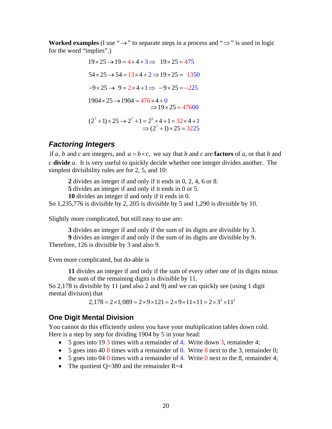**Worked examples** (I use " $\rightarrow$ " to separate steps in a process and " $\Rightarrow$ " is used in logic for the word "implies".)

$$
19 \times 25 \rightarrow 19 = 4 \times 4 + 3 \Rightarrow 19 \times 25 = 475
$$
  
\n
$$
54 \times 25 \rightarrow 54 = 13 \times 4 + 2 \Rightarrow 19 \times 25 = 1350
$$
  
\n
$$
-9 \times 25 \rightarrow 9 = 2 \times 4 + 1 \Rightarrow -9 \times 25 = -225
$$
  
\n
$$
1904 \times 25 \rightarrow 1904 = 476 \times 4 + 0
$$
  
\n
$$
\Rightarrow 19 \times 25 = 47600
$$
  
\n
$$
(2^7 + 1) \times 25 \rightarrow 2^7 + 1 = 2^5 \times 4 + 1 = 32 \times 4 + 1
$$
  
\n
$$
\Rightarrow (2^7 + 1) \times 25 = 3225
$$

### <span id="page-22-0"></span>*Factoring Integers*

if a, b and c are integers, and  $a = b \times c$ , we say that b and c are **factors** of a, or that b and *c* **divide** *a*. It is very useful to quickly decide whether one integer divides another. The simplest divisibility rules are for 2, 5, and 10:

**2** divides an integer if and only if it ends in 0, 2, 4, 6 or 8.

**5** divides an integer if and only if it ends in 0 or 5.

**10** divides an integer if and only if it ends in 0.

So 1,235,776 is divisible by 2, 205 is divisible by 5 and 1,290 is divisible by 10.

Slightly more complicated, but still easy to use are:

**3** divides an integer if and only if the sum of its digits are divisible by 3. **9** divides an integer if and only if the sum of its digits are divisible by 9.

Therefore, 126 is divisible by 3 and also 9.

Even more complicated, but do-able is

**11** divides an integer if and only if the sum of every other one of its digits minus the sum of the remaining digits is divisible by 11.

So 2,178 is divisible by 11 (and also 2 and 9) and we can quickly see (using 1 digit mental division) that

 $2,178 = 2 \times 1,089 = 2 \times 9 \times 121 = 2 \times 9 \times 11 \times 11 = 2 \times 3^2 \times 11^2$ 

### <span id="page-22-1"></span>**One Digit Mental Division**

You cannot do this efficiently unless you have your multiplication tables down cold. Here is a step by step for dividing 1904 by 5 in your head:

- 5 goes into 19 3 times with a remainder of 4. Write down 3, remainder 4;
- $\bullet$  5 goes into 40 8 times with a remainder of 0. Write 8 next to the 3, remainder 0;
- $\bullet$  5 goes into 04 0 times with a remainder of 4. Write 0 next to the 8, remainder 4;
- The quotient  $Q=380$  and the remainder R=4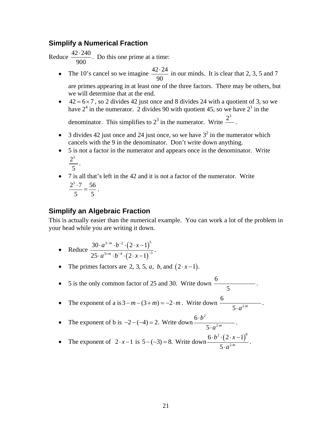### <span id="page-23-0"></span>**Simplify a Numerical Fraction**

Reduce  $\frac{42 \cdot 240}{256}$ 900  $\frac{.240}{.20}$ . Do this one prime at a time:

• The 10's cancel so we imagine  $\frac{42.24}{\sqrt{25}}$ 90  $\frac{.24}{\circ}$  in our minds. It is clear that 2, 3, 5 and 7 are primes appearing in at least one of the three factors. There may be others, but

we will determine that at the end.

 $\bullet$  42 = 6 × 7, so 2 divides 42 just once and 8 divides 24 with a quotient of 3, so we have  $2<sup>4</sup>$  in the numerator. 2 divides 90 with quotient 45, so we have  $2<sup>1</sup>$  in the

denominator. This simplifies to  $2^3$  in the numerator. Write  $\frac{2^3}{\cdot}$ .

- 3 divides 42 just once and 24 just once, so we have  $3^2$  in the numerator which cancels with the 9 in the denominator. Don't write down anything.
- 5 is not a factor in the numerator and appears once in the denominator. Write  $2^3$ .

$$
\frac{2}{5}.
$$

 7 is all that's left in the 42 and it is not a factor of the numerator. Write  $2^3 \cdot 7$  56 5 5  $\frac{.7}{.} = \frac{56}{.}$ .

### <span id="page-23-1"></span>**Simplify an Algebraic Fraction**

This is actually easier than the numerical example. You can work a lot of the problem in your head while you are writing it down.

- Reduce  $\frac{30 \cdot a^{3-m} \cdot b^{-2} \cdot (2 \cdot x 1)}{a}$  $(2 \cdot x - 1)$  $3-m$   $b^{-2}$   $(2 \times 1)^5$  $3+m$   $k^{-4}$   $(2 \times 1)^{-3}$  $30 \cdot a^{3-m} \cdot b^{-2} \cdot (2 \cdot x - 1)$  $25 \cdot a^{3+m} \cdot b^{-4} \cdot (2 \cdot x - 1)$ *m m*  $a^{3-m} \cdot b^{-2} \cdot (2 \cdot x)$  $a^{3+m} \cdot b^{-4} \cdot (2 \cdot x)$  $-m$   $\mathbf{L}^ +m$   $k^{-4}$  (2  $n$  1)<sup>-1</sup>  $\cdot a^{3-m} \cdot b^{-2} \cdot (2 \cdot x \frac{a^{3+m} \cdot b^{-4} \cdot (2 \cdot x - 1)}{a^{3+m} \cdot b^{-4} \cdot (2 \cdot x - 1)^{-3}}$ .
- The primes factors are 2, 3, 5, *a*, *b*, and  $(2 \cdot x 1)$ .
- 5 is the only common factor of 25 and 30. Write down  $\frac{6}{5}$ .
- The exponent of a is  $3 m (3 + m) = -2 \cdot m$ . Write down  $\frac{6}{2 \cdot 3^{2m}}$  $\overline{6}$  6  $5 \cdot a^{2 \cdot m}$  $a^2$  $\frac{a^{2m}}{a^{2m}}$ .
- The exponent of b is  $-2-(-4) = 2$ . Write down  $\frac{6 \cdot b^2}{5 \cdot a^{2m}}$  $6 \cdot b^2$ 5 *m*  $b^2$  $a^2$  $\cdot b^2$  $\frac{a^{2m}}{a^{2m}}$ .
- The exponent of  $2 \cdot x 1$  is  $5 (-3) = 8$ . Write down  $\frac{6 \cdot b^2 \cdot (2 \cdot x 1)^8}{5 \cdot a^{2m}}$  $6 \cdot b^2 \cdot (2 \cdot x - 1)$  $5 \cdot a^{2 \cdot m}$  $b^2 \cdot (2 \cdot x)$  $a^2$  $\cdot b^2 \cdot (2 \cdot x \frac{(2^{n} - 1)}{a^{2m}}$ .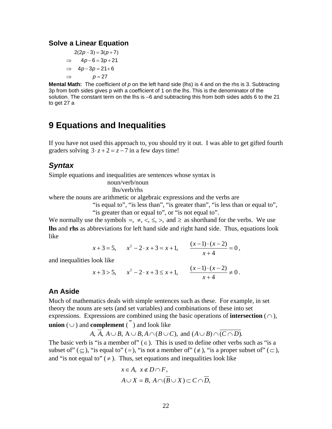#### **Solve a Linear Equation**

 $2(2p-3) = 3(p+7)$  $\Rightarrow$  4p-6=3p+21  $\Rightarrow$  4p-3p=21+6  $\Rightarrow$   $p=27$ 

**Mental Math:** The coefficient of *p* on the left hand side (lhs) is 4 and on the rhs is 3. Subtracting 3p from both sides gives p with a coefficient of 1 on the lhs. This is the denominator of the solution. The constant term on the lhs is –6 and subtracting this from both sides adds 6 to the 21 to get 27 a

### <span id="page-24-0"></span>**9 Equations and Inequalities**

graders solving  $3 \cdot z + 2 = z - 7$  in a few days time! If you have not used this approach to, you should try it out. I was able to get gifted fourth

### <span id="page-24-1"></span>*Syntax*

Simple equations and inequalities are sentences whose syntax is

noun/verb/noun

lhs/verb/rhs

where the nouns are arithmetic or algebraic expressions and the verbs are

"is equal to", "is less than", "is greater than", "is less than or equal to",

"is greater than or equal to", or "is not equal to".

We normally use the symbols  $=$ ,  $\neq$ ,  $\lt$ ,  $\leq$ ,  $\gt$ , and  $\geq$  as shorthand for the verbs. We use **lhs** and **rhs** as abbreviations for left hand side and right hand side. Thus, equations look like

$$
x+3=5
$$
,  $x^2-2 \cdot x + 3 = x+1$ ,  $\frac{(x-1) \cdot (x-2)}{x+4} = 0$ ,

and inequalities look like

$$
x+3>5
$$
,  $x^2-2 \cdot x + 3 \le x+1$ ,  $\frac{(x-1) \cdot (x-2)}{x+4} \ne 0$ .

#### <span id="page-24-2"></span>**An Aside**

Much of mathematics deals with simple sentences such as these. For example, in set theory the nouns are sets (and set variables) and combinations of these into set expressions. Expressions are combined using the basic operations of **intersection**  $(\cap)$ , **union** ( $\cup$ ) and **complement** ( $\overline{\phantom{a}}$ ) and look like

*A*,  $A, A \cup B, A \cup B, A \cap (B \cup C)$ , and  $(A \cup B) \cap (C \cap D)$ .

The basic verb is "is a member of"  $(\in)$ . This is used to define other verbs such as "is a subset of  $(\subseteq)$ , "is equal to" (=), "is not a member of" ( $\notin$ ), "is a proper subset of" ( $\subset$ ), and "is not equal to"  $(\neq)$ . Thus, set equations and inequalities look like

$$
x \in A, \ x \notin D \cap F,
$$
  

$$
A \cup X = B, \ A \cap (\overline{B} \cup X) \subset C \cap \overline{D},
$$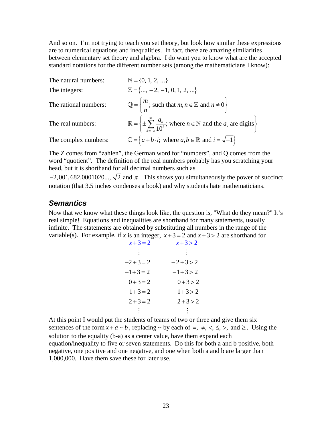And so on. I'm not trying to teach you set theory, but look how similar these expressions are to numerical equations and inequalities. In fact, there are amazing similarities between elementary set theory and algebra. I do want you to know what are the accepted standard notations for the different number sets (among the mathematicians I know):

The natural numbers:  $\mathbb{N} = \{0, 1, 2, ...\}$ The integers:  $\mathbb{Z} = \{..., -2, -1, 0, 1, 2, ...\}$ The rational numbers:  $\mathbb{Q} = \left\{ \frac{m}{n} \right\}$ ; such that  $m, n \in \mathbb{Z}$  and  $n \neq 0$  $\mathbb{Q} = \left\{ \frac{m}{n} \text{; such that } m, n \in \mathbb{Z} \text{ and } n \neq 0 \right\}$ The real numbers:  $\mathbb{R} = \left\{ \pm \sum_{k=-n}^{\infty} \frac{a_k}{10^k} \right\}$ ; where  $n \in \mathbb{N}$  and the  $a_k$  are digits  $\sum_{k=-n}$  10<sup>k</sup>  $\frac{a_k}{a_k}$ ; where  $n \in \mathbb{N}$  and the *a* ∞  $\mathbb{R} = \left\{ \pm \sum_{k=-n}^{\infty} \frac{a_k}{10^k}$ ; where  $n \in \mathbb{N}$  and the  $a_k$  are digits The complex numbers:  $\mathbb{C} = \{a+b \cdot i; \text{ where } a, b \in \mathbb{R} \text{ and } i = \sqrt{-1}\}\$ 

The Z comes from "zahlen", the German word for "numbers", and Q comes from the word "quotient". The definition of the real numbers probably has you scratching your head, but it is shorthand for all decimal numbers such as

 $-2,001,682.0001020...$ ,  $\sqrt{2}$  and  $\pi$ . This shows you simultaneously the power of succinct notation (that 3.5 inches condenses a book) and why students hate mathematicians.

### <span id="page-25-0"></span>*Semantics*

Now that we know what these things look like, the question is, "What do they mean?" It's real simple! Equations and inequalities are shorthand for many statements, usually infinite. The statements are obtained by substituting all numbers in the range of the variable(s). For example, if *x* is an integer,  $x+3=2$  and  $x+3>2$  are shorthand for

| $x+3=2$  | $x + 3 > 2$ |
|----------|-------------|
|          |             |
| $-2+3=2$ | $-2+3>2$    |
| $-1+3=2$ | $-1+3>2$    |
| $0+3=2$  | $0+3>2$     |
| $1+3=2$  | $1+3 > 2$   |
| $2+3=2$  | $2+3>2$     |
|          |             |

At this point I would put the students of teams of two or three and give them six sentences of the form  $x + a \sim b$ , replacing  $\sim$  by each of =,  $\neq$ ,  $\lt$ ,  $\leq$ ,  $\gt$ , and  $\geq$ . Using the solution to the equality (b-a) as a center value, have them expand each equation/inequality to five or seven statements. Do this for both a and b positive, both negative, one positive and one negative, and one when both a and b are larger than 1,000,000. Have them save these for later use.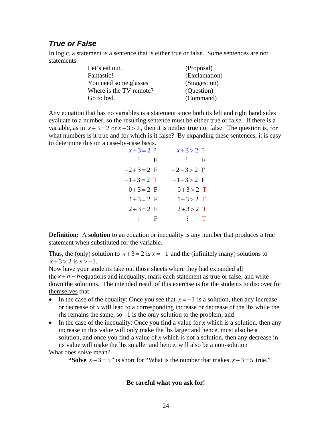### <span id="page-26-0"></span>*True or False*

In logic, a statement is a sentence that is either true or false. Some sentences are not statements.

| Let's eat out.          | (Proposal)    |
|-------------------------|---------------|
| Fantastic!              | (Exclamation) |
| You need some glasses   | (Suggestion)  |
| Where is the TV remote? | (Question)    |
| Go to bed.              | (Command)     |

Any equation that has no variables is a statement since both its left and right hand sides evaluate to a number, so the resulting sentence must be either true or false. If there is a variable, as in  $x + 3 = 2$  or  $x + 3 > 2$ , then it is neither true nor false. The question is, for what numbers is it true and for which is it false? By expanding these sentences, it is easy to determine this on a case-by-case basis.

| $x+3=2$ ?  | $x+3>2$ ?  |
|------------|------------|
| $\vdots$ F | $\vdots$ F |
| $-2+3=2$ F | $-2+3>2$ F |
| $-1+3=2$ T | $-1+3>2$ F |
| $0+3=2$ F  | $0+3>2$ T  |
| $1+3=2$ F  | $1+3>2$ T  |
| $2+3=2$ F  | $2+3>2$ T  |
| $\vdots$ F | $\cdots$   |

**Definition:** A **solution** to an equation or inequality is any number that produces a true statement when substituted for the variable.

Thus, the (only) solution to  $x + 3 = 2$  is  $x = -1$  and the (infinitely many) solutions to  $x + 3 > 2$  is  $x > -1$ .

Now have your students take out those sheets where they had expanded all the  $x + a - b$  equations and inequality, mark each statement as true or false, and write down the solutions. The intended result of this exercise is for the students to discover for themselves that

- In the case of the equality: Once you see that  $x = -1$  is a solution, then any increase or decrease of *x* will lead to a corresponding increase or decrease of the lhs while the rhs remains the same, so  $-1$  is the only solution to the problem, and
- In the case of the inequality: Once you find a value for x which is a solution, then any increase in this value will only make the lhs larger and hence, must also be a solution, and once you find a value of *x* which is not a solution, then any decrease in its value will make the lhs smaller and hence, will also be a non-solution

What does solve mean?

**"Solve**  $x+3=5$ " is short for "What is the number that makes  $x+3=5$  true."

#### **Be careful what you ask for!**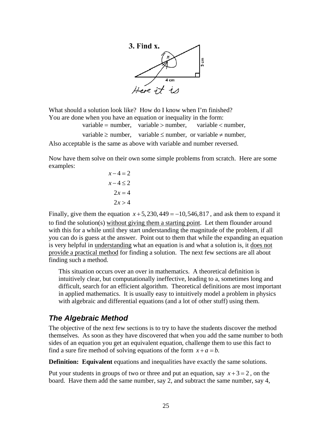

What should a solution look like? How do I know when I'm finished? You are done when you have an equation or inequality in the form:

variable = number, variable > number, variable < number,

variable  $\ge$  number, variable  $\le$  number, or variable  $\neq$  number, Also acceptable is the same as above with variable and number reversed.

Now have them solve on their own some simple problems from scratch. Here are some examples:

> $x - 4 = 2$  $x - 4 \leq 2$  $2x = 4$  $2x > 4$

Finally, give them the equation  $x + 5$ , 230, 449 = -10, 546, 817, and ask them to expand it to find the solution(s) without giving them a starting point. Let them flounder around with this for a while until they start understanding the magnitude of the problem, if all you can do is guess at the answer. Point out to them that while the expanding an equation is very helpful in understanding what an equation is and what a solution is, it does not provide a practical method for finding a solution. The next few sections are all about finding such a method.

This situation occurs over an over in mathematics. A theoretical definition is intuitively clear, but computationally ineffective, leading to a, sometimes long and difficult, search for an efficient algorithm. Theoretical definitions are most important in applied mathematics. It is usually easy to intuitively model a problem in physics with algebraic and differential equations (and a lot of other stuff) using them.

### <span id="page-27-0"></span>*The Algebraic Method*

The objective of the next few sections is to try to have the students discover the method themselves. As soon as they have discovered that when you add the same number to both sides of an equation you get an equivalent equation, challenge them to use this fact to find a sure fire method of solving equations of the form  $x + a = b$ .

**Definition: Equivalent** equations and inequalities have exactly the same solutions.

Put your students in groups of two or three and put an equation, say  $x + 3 = 2$ , on the board. Have them add the same number, say 2, and subtract the same number, say 4,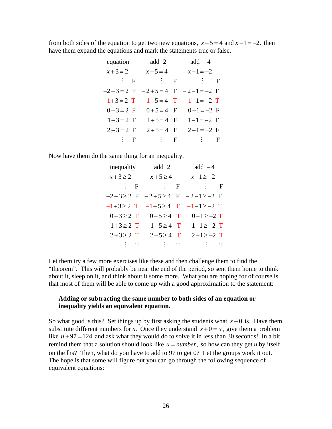from both sides of the equation to get two new equations,  $x + 5 = 4$  and  $x - 1 = -2$ . then have them expand the equations and mark the statements true or false.

| equation     | add 2       | $add -4$                       |
|--------------|-------------|--------------------------------|
| $x + 3 = 2$  | $x + 5 = 4$ | $x-1=-2$                       |
| $\cdots$ : F | $\vdots$ F  | $\vdots$ F                     |
| $-2+3=2$ F   |             | $-2+5=4$ F $-2-1=-2$ F         |
| $-1+3=2$ T   |             | $-1+5=4$ T $-1-1=-2$ T         |
|              |             | $0+3=2$ F $0+5=4$ F $0-1=-2$ F |
| $1+3=2$ F    | $1+5=4$ F   | $1 - 1 = -2$ F                 |
| $2+3=2$ F    | $2+5=4$ F   | $2 - 1 = -2$ F                 |
| $\vdots$ F   | $\vdots$ F  | $\vdots$ F                     |

Now have them do the same thing for an inequality.

| inequality    | add 2                                                       | add $-4$                                      |
|---------------|-------------------------------------------------------------|-----------------------------------------------|
| $x+3\geq 2$   | $x+5\geq 4$                                                 | $x-1\geq -2$                                  |
| $\vdots$ F    |                                                             | $\vdots$ $\vdots$ $\vdots$ $\vdots$ $\vdots$  |
|               |                                                             | $-2+3 \ge 2$ F $-2+5 \ge 4$ F $-2-1 \ge -2$ F |
|               |                                                             | $-1+3 \ge 2$ T $-1+5 \ge 4$ T $-1-1 \ge -2$ T |
|               |                                                             | $0+3 \ge 2$ T $0+5 \ge 4$ T $0-1 \ge -2$ T    |
| $1+3\geq 2$ T |                                                             | $1+5 \ge 4$ T $1-1 \ge -2$ T                  |
| $2+3\geq 2$ T | $2+5 \geq 4$ T                                              | $2-1 \ge -2$ T                                |
| $\cdots$      | $\blacksquare$ $\blacksquare$ $\blacksquare$ $\blacksquare$ | $\mathbf{r}$ is the $\mathbf{r}$              |

Let them try a few more exercises like these and then challenge them to find the "theorem". This will probably be near the end of the period, so sent them home to think about it, sleep on it, and think about it some more. What you are hoping for of course is that most of them will be able to come up with a good approximation to the statement:

#### **Adding or subtracting the same number to both sides of an equation or inequality yields an equivalent equation.**

So what good is this? Set things up by first asking the students what  $x+0$  is. Have them substitute different numbers for *x*. Once they understand  $x+0=x$ , give them a problem like  $u + 97 = 124$  and ask what they would do to solve it in less than 30 seconds! In a bit remind them that a solution should look like  $u = number$ , so how can they get  $u$  by itself on the lhs? Then, what do you have to add to 97 to get 0? Let the groups work it out. The hope is that some will figure out you can go through the following sequence of equivalent equations: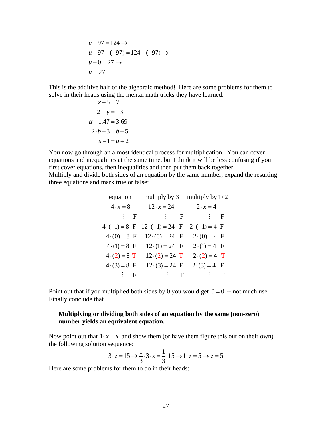$$
u + 97 = 124 \rightarrow
$$
  
\n
$$
u + 97 + (-97) = 124 + (-97) \rightarrow
$$
  
\n
$$
u + 0 = 27 \rightarrow
$$
  
\n
$$
u = 27
$$

This is the additive half of the algebraic method! Here are some problems for them to solve in their heads using the mental math tricks they have learned.

$$
x-5=7
$$
  
\n
$$
2+y=-3
$$
  
\n
$$
\alpha+1.47=3.69
$$
  
\n
$$
2 \cdot b+3=b+5
$$
  
\n
$$
u-1=u+2
$$

You now go through an almost identical process for multiplication. You can cover equations and inequalities at the same time, but I think it will be less confusing if you first cover equations, then inequalities and then put them back together. Multiply and divide both sides of an equation by the same number, expand the resulting three equations and mark true or false:

| equation             | multiply by 3              | multiply by $1/2$    |
|----------------------|----------------------------|----------------------|
| $4 \cdot x = 8$      | $12 \cdot x = 24$          | $2 \cdot x = 4$      |
| $\vdots$ F           | $\vdots$ $\vdots$ $\vdots$ | $\vdots$ F           |
| $4 \cdot (-1) = 8$ F | $12 \cdot (-1) = 24$ F     | $2 \cdot (-1) = 4$ F |
| $4(0) = 8$ F         | $12(0) = 24$ F             | $2(0) = 4$ F         |
| $4(1) = 8$ F         | $12 \cdot (1) = 24$ F      | $2(1) = 4$ F         |
| $4(2) = 8$ T         | $12 \cdot (2) = 24$ T      | $2(2) = 4$ T         |
| $4(3) = 8$ F         | $12 \cdot (3) = 24$ F      | $2(3) = 4$ F         |
| $\vdots$ F           | $\vdots$ F                 | $\vdots$ F           |

Point out that if you multiplied both sides by 0 you would get  $0 = 0$  -- not much use. Finally conclude that

#### **Multiplying or dividing both sides of an equation by the same (non-zero) number yields an equivalent equation.**

Now point out that  $1 \cdot x = x$  and show them (or have them figure this out on their own) the following solution sequence:

$$
3 \cdot z = 15 \rightarrow \frac{1}{3} \cdot 3 \cdot z = \frac{1}{3} \cdot 15 \rightarrow 1 \cdot z = 5 \rightarrow z = 5
$$

Here are some problems for them to do in their heads: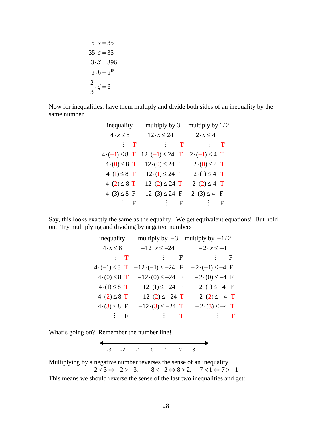$$
5 \cdot x = 35
$$

$$
35 \cdot s = 35
$$

$$
3 \cdot \delta = 396
$$

$$
2 \cdot b = 2^{15}
$$

$$
\frac{2}{3} \cdot \xi = 6
$$

Now for inequalities: have them multiply and divide both sides of an inequality by the same number

| inequality              | multiply by 3                          | multiply by $1/2$        |
|-------------------------|----------------------------------------|--------------------------|
| $4 \cdot x \leq 8$      | $12 \cdot x \leq 24$                   | $2 \cdot x \leq 4$       |
| $\vdots$ T              | $\mathbf{r}$ is the state $\mathbf{r}$ | $\vdash$ $\vdash$ $\top$ |
| $4 \cdot (-1) \leq 8$ T | $12 \cdot (-1) \leq 24$ T              | $2 \cdot (-1) \leq 4$ T  |
| $4(0) \leq 8$ T         | $12(0) \le 24$ T                       | $2(0) \leq 4$ T          |
| $4(1) \leq 8$ T         | $12 \cdot (1) \leq 24$ T               | $2(1) \leq 4$ T          |
| $4(2) \leq 8$ T         | $12 \cdot (2) \leq 24$ T               | $2(2) \leq 4$ T          |
| $4(3) \leq 8$ F         | $12(3) \leq 24$ F                      | $2(3) \le 4$ F           |
| $\cdots$ : F            | $\vdash$ : $\vdash$ F                  | $\vdots$ F               |

Say, this looks exactly the same as the equality. We get equivalent equations! But hold on. Try multiplying and dividing by negative numbers

| inequality              | multiply by $-3$                          | multiply by $-1/2$       |
|-------------------------|-------------------------------------------|--------------------------|
| $4 \cdot x \leq 8$      | $-12 \cdot x \le -24$ $-2 \cdot x \le -4$ |                          |
| $\cdots$ : T            | $\vdots$ F                                | $\vdots$ F               |
| $4 \cdot (-1) \leq 8$ T | $-12 \cdot (-1) \le -24$ F                | $-2 \cdot (-1) \le -4$ F |
| $4(0) \leq 8$ T         | $-12(0) \le -24$ F                        | $-2(0) \le -4$ F         |
| $4(1) \leq 8$ T         | $-12(1) \le -24$ F                        | $-2(1) \le -4$ F         |
| $4(2) \leq 8$ T         | $-12 \cdot (2) \le -24$ T                 | $-2(2) \le -4$ T         |
| $4.3 \leq 8$ F          | $-12 \cdot (3) \le -24$ T                 | $-2(3) \le -4$ T         |
| $\vdots$ F              | $\cdots$ $\cdots$ $\cdots$ $\cdots$       | $\vdots$ $\top$          |

What's going on? Remember the number line!



Multiplying by a negative number reverses the sense of an inequality  $2 < 3 \Leftrightarrow -2 > -3, \quad -8 < -2 \Leftrightarrow 8 > 2, \quad -7 < 1 \Leftrightarrow 7 > -1$ This means we should reverse the sense of the last two inequalities and get: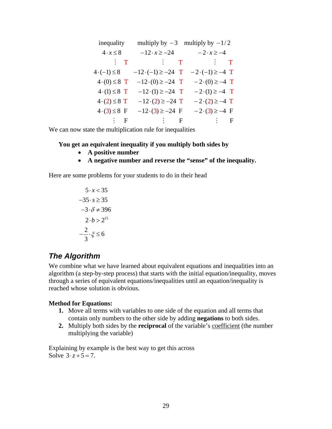| inequality            | multiply by $-3$                          | multiply by $-1/2$       |
|-----------------------|-------------------------------------------|--------------------------|
| $4 \cdot x \leq 8$    | $-12 \cdot x \ge -24$ $-2 \cdot x \ge -4$ |                          |
| $\cdots$ : T          | $\vdots$ $\top$                           | $\vdots$ $\top$          |
| $4 \cdot (-1) \leq 8$ | $-12 \cdot (-1) \ge -24$ T                | $-2 \cdot (-1) \ge -4$ T |
| $4(0) \leq 8$ T       | $-12(0) \ge -24$ T                        | $-2(0) \ge -4$ T         |
| $4(1) \leq 8$ T       | $-12(1) \ge -24$ T                        | $-2(1) \ge -4$ T         |
| $4(2) \leq 8$ T       | $-12 \cdot (2) \ge -24$ T                 | $-2(2) \ge -4$ T         |
| $4(3) \leq 8$ F       | $-12(3) \ge -24$ F                        | $-2(3) \ge -4$ F         |
| $\cdots$ : F          | $\vdots$ $\vdots$ $\vdots$                | $\vdots$ F               |

We can now state the multiplication rule for inequalities

#### **You get an equivalent inequality if you multiply both sides by**

- **A positive number**
- **A negative number and reverse the "sense" of the inequality.**

Here are some problems for your students to do in their head

$$
5 \cdot x < 35
$$
\n
$$
-35 \cdot s \ge 35
$$
\n
$$
-3 \cdot \delta \ne 396
$$
\n
$$
2 \cdot b > 2^{15}
$$
\n
$$
-\frac{2}{3} \cdot \xi \le 6
$$

### <span id="page-31-0"></span>*The Algorithm*

We combine what we have learned about equivalent equations and inequalities into an algorithm (a step-by-step process) that starts with the initial equation/inequality, moves through a series of equivalent equations/inequalities until an equation/inequality is reached whose solution is obvious.

#### **Method for Equations:**

- **1.** Move all terms with variables to one side of the equation and all terms that contain only numbers to the other side by adding **negations** to both sides.
- **2.** Multiply both sides by the **reciprocal** of the variable's coefficient (the number multiplying the variable)

Explaining by example is the best way to get this across Solve  $3 \cdot z + 5 = 7$ .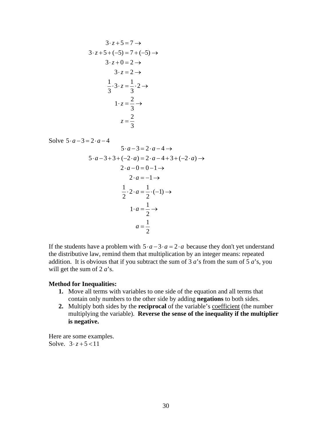$$
3 \cdot z + 5 = 7 \rightarrow
$$
  
\n
$$
3 \cdot z + 5 + (-5) = 7 + (-5) \rightarrow
$$
  
\n
$$
3 \cdot z + 0 = 2 \rightarrow
$$
  
\n
$$
3 \cdot z = 2 \rightarrow
$$
  
\n
$$
\frac{1}{3} \cdot 3 \cdot z = \frac{1}{3} \cdot 2 \rightarrow
$$
  
\n
$$
1 \cdot z = \frac{2}{3} \rightarrow
$$
  
\n
$$
z = \frac{2}{3}
$$

Solve  $5 \cdot a - 3 = 2 \cdot a - 4$  $5 \cdot a - 3 = 2 \cdot a - 4 \rightarrow$  $5 \cdot a - 3 + 3 + (-2 \cdot a) = 2 \cdot a - 4 + 3 + (-2 \cdot a) \rightarrow$  $2 \cdot a - 0 = 0 - 1 \rightarrow$  $2 \cdot a = -1 \rightarrow$  $\frac{1}{2} \cdot 2 \cdot a = \frac{1}{2} \cdot (-1) \rightarrow$  $1 \cdot a = \frac{1}{2}$ 2 1 2  $\cdot a = \frac{1}{a} \rightarrow$ *a*

If the students have a problem with  $5 \cdot a - 3 \cdot a = 2 \cdot a$  because they don't yet understand the distributive law, remind them that multiplication by an integer means: repeated addition. It is obvious that if you subtract the sum of 3 *a*'s from the sum of 5 *a*'s, you will get the sum of 2 *a*'s.

#### **Method for Inequalities:**

- **1.** Move all terms with variables to one side of the equation and all terms that contain only numbers to the other side by adding **negations** to both sides.
- **2.** Multiply both sides by the **reciprocal** of the variable's <u>coefficient</u> (the number multiplying the variable). **Reverse the sense of the inequality if the multiplier is negative.**

Here are some examples. Solve.  $3 \cdot z + 5 < 11$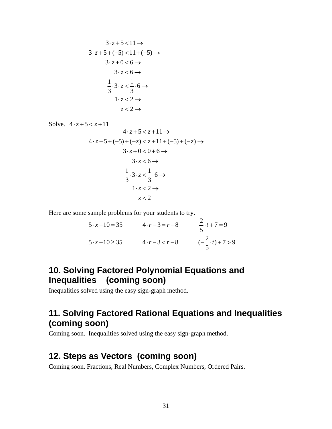$$
3 \cdot z + 5 < 11 \rightarrow
$$
  
\n
$$
3 \cdot z + 5 + (-5) < 11 + (-5) \rightarrow
$$
  
\n
$$
3 \cdot z + 0 < 6 \rightarrow
$$
  
\n
$$
3 \cdot z < 6 \rightarrow
$$
  
\n
$$
\frac{1}{3} \cdot 3 \cdot z < \frac{1}{3} \cdot 6 \rightarrow
$$
  
\n
$$
1 \cdot z < 2 \rightarrow
$$
  
\n
$$
z < 2 \rightarrow
$$

Solve.  $4 \cdot z + 5 < z + 11$  $4 \cdot z + 5 < z + 11 \rightarrow$  $4 \cdot z + 5 + (-5) + (-z) < z + 11 + (-5) + (-z) \rightarrow$  $3 \cdot z + 0 < 0 + 6 \rightarrow$  $3 \cdot z < 6 \rightarrow$  $\frac{1}{2} \cdot 3 \cdot z < \frac{1}{2} \cdot 6$ 3 3  $1 \cdot z < 2 \rightarrow$ 2 *z*  $-3\cdot z < \frac{1}{2}\cdot 6 \rightarrow$ 

Here are some sample problems for your students to try.

$$
5 \cdot x - 10 = 35
$$
  
\n
$$
4 \cdot r - 3 = r - 8
$$
  
\n
$$
5 \cdot x - 10 \ge 35
$$
  
\n
$$
4 \cdot r - 3 = r - 8
$$
  
\n
$$
4 \cdot r - 3 < r - 8
$$
  
\n
$$
6 \cdot \frac{2}{5} \cdot t + 7 = 9
$$
  
\n
$$
6 \cdot \frac{2}{5} \cdot t + 7 > 9
$$

## <span id="page-33-0"></span>**10. Solving Factored Polynomial Equations and Inequalities (coming soon)**

Inequalities solved using the easy sign-graph method.

## <span id="page-33-1"></span>**11. Solving Factored Rational Equations and Inequalities (coming soon)**

Coming soon. Inequalities solved using the easy sign-graph method.

## <span id="page-33-2"></span>**12. Steps as Vectors (coming soon)**

Coming soon. Fractions, Real Numbers, Complex Numbers, Ordered Pairs.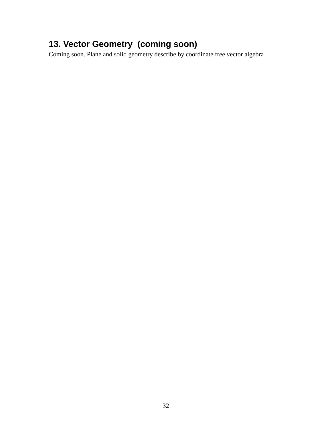# <span id="page-34-0"></span>**13. Vector Geometry (coming soon)**

Coming soon. Plane and solid geometry describe by coordinate free vector algebra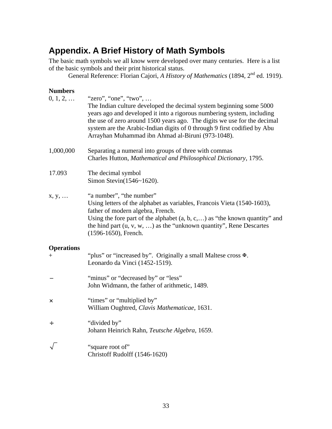## <span id="page-35-0"></span>**Appendix. A Brief History of Math Symbols**

The basic math symbols we all know were developed over many centuries. Here is a list of the basic symbols and their print historical status.

General Reference: Florian Cajori, *A History of Mathematics* (1894, 2<sup>nd</sup> ed. 1919).

### **Numbers**

| $0, 1, 2, \ldots$           | "zero", "one", "two",<br>The Indian culture developed the decimal system beginning some 5000<br>years ago and developed it into a rigorous numbering system, including<br>the use of zero around 1500 years ago. The digits we use for the decimal<br>system are the Arabic-Indian digits of 0 through 9 first codified by Abu<br>Arrayhan Muhammad ibn Ahmad al-Biruni (973-1048). |
|-----------------------------|-------------------------------------------------------------------------------------------------------------------------------------------------------------------------------------------------------------------------------------------------------------------------------------------------------------------------------------------------------------------------------------|
| 1,000,000                   | Separating a numeral into groups of three with commas<br>Charles Hutton, Mathematical and Philosophical Dictionary, 1795.                                                                                                                                                                                                                                                           |
| 17.093                      | The decimal symbol<br>Simon Stevin(1546~1620).                                                                                                                                                                                                                                                                                                                                      |
| x, y,                       | "a number", "the number"<br>Using letters of the alphabet as variables, Francois Vieta (1540-1603),<br>father of modern algebra, French.<br>Using the fore part of the alphabet $(a, b, c, \ldots)$ as "the known quantity" and<br>the hind part $(u, v, w, )$ as the "unknown quantity", Rene Descartes<br>(1596-1650), French.                                                    |
| <b>Operations</b><br>$^{+}$ | "plus" or "increased by". Originally a small Maltese cross $\mathbb{F}$ .<br>Leonardo da Vinci (1452-1519).                                                                                                                                                                                                                                                                         |
|                             | "minus" or "decreased by" or "less"<br>John Widmann, the father of arithmetic, 1489.                                                                                                                                                                                                                                                                                                |
| $\pmb{\times}$              | "times" or "multiplied by"<br>William Oughtred, Clavis Mathematicae, 1631.                                                                                                                                                                                                                                                                                                          |
| ÷                           | "divided by"<br>Johann Heinrich Rahn, Teutsche Algebra, 1659.                                                                                                                                                                                                                                                                                                                       |
|                             | "square root of"<br>Christoff Rudolff (1546-1620)                                                                                                                                                                                                                                                                                                                                   |